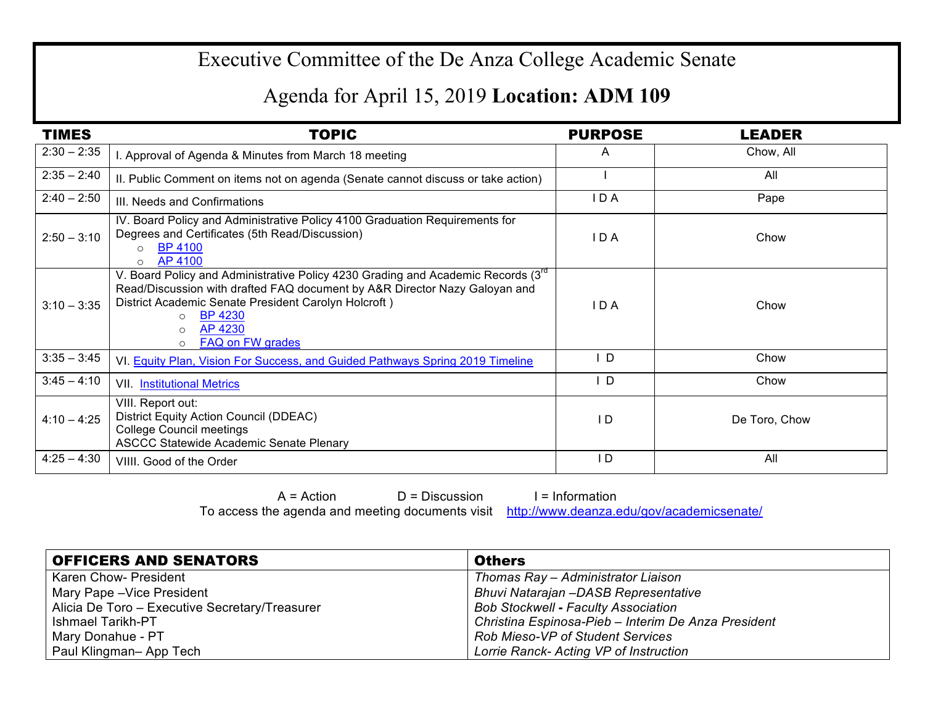## Executive Committee of the De Anza College Academic Senate

## Agenda for April 15, 2019 **Location: ADM 109**

| <b>TIMES</b>  | <b>TOPIC</b>                                                                                                                                                                                                                                                                                                              | <b>PURPOSE</b> | <b>LEADER</b> |
|---------------|---------------------------------------------------------------------------------------------------------------------------------------------------------------------------------------------------------------------------------------------------------------------------------------------------------------------------|----------------|---------------|
| $2:30 - 2:35$ | . Approval of Agenda & Minutes from March 18 meeting                                                                                                                                                                                                                                                                      | A              | Chow, All     |
| $2:35 - 2:40$ | II. Public Comment on items not on agenda (Senate cannot discuss or take action)                                                                                                                                                                                                                                          |                | All           |
| $2:40 - 2:50$ | III. Needs and Confirmations                                                                                                                                                                                                                                                                                              | IDA            | Pape          |
| $2:50 - 3:10$ | IV. Board Policy and Administrative Policy 4100 Graduation Requirements for<br>Degrees and Certificates (5th Read/Discussion)<br><b>BP 4100</b><br>$\circ$<br>AP 4100<br>$\circ$                                                                                                                                          | IDA            | Chow          |
| $3:10 - 3:35$ | V. Board Policy and Administrative Policy 4230 Grading and Academic Records (3 <sup>rd</sup> )<br>Read/Discussion with drafted FAQ document by A&R Director Nazy Galoyan and<br>District Academic Senate President Carolyn Holcroft)<br><b>BP 4230</b><br>$\circ$<br><b>AP 4230</b><br>$\circ$<br><b>FAQ on FW grades</b> | I D A          | Chow          |
| $3:35 - 3:45$ | VI. Equity Plan, Vision For Success, and Guided Pathways Spring 2019 Timeline                                                                                                                                                                                                                                             | D              | Chow          |
| $3:45 - 4:10$ | VII. Institutional Metrics                                                                                                                                                                                                                                                                                                | D              | Chow          |
| $4:10 - 4:25$ | VIII. Report out:<br>District Equity Action Council (DDEAC)<br><b>College Council meetings</b><br><b>ASCCC Statewide Academic Senate Plenary</b>                                                                                                                                                                          | I D            | De Toro, Chow |
| $4:25 - 4:30$ | VIIII. Good of the Order                                                                                                                                                                                                                                                                                                  | I D            | All           |

 $A = Action$   $D = Discussion$  I = Information To access the agenda and meeting documents visit http://www.deanza.edu/gov/academicsenate/

| <b>OFFICERS AND SENATORS</b>                   | <b>Others</b>                                       |
|------------------------------------------------|-----------------------------------------------------|
| Karen Chow- President                          | Thomas Ray - Administrator Liaison                  |
| Mary Pape - Vice President                     | <b>Bhuvi Natarajan -DASB Representative</b>         |
| Alicia De Toro - Executive Secretary/Treasurer | <b>Bob Stockwell - Faculty Association</b>          |
| <b>Ishmael Tarikh-PT</b>                       | Christina Espinosa-Pieb - Interim De Anza President |
| Mary Donahue - PT                              | <b>Rob Mieso-VP of Student Services</b>             |
| Paul Klingman- App Tech                        | Lorrie Ranck- Acting VP of Instruction              |